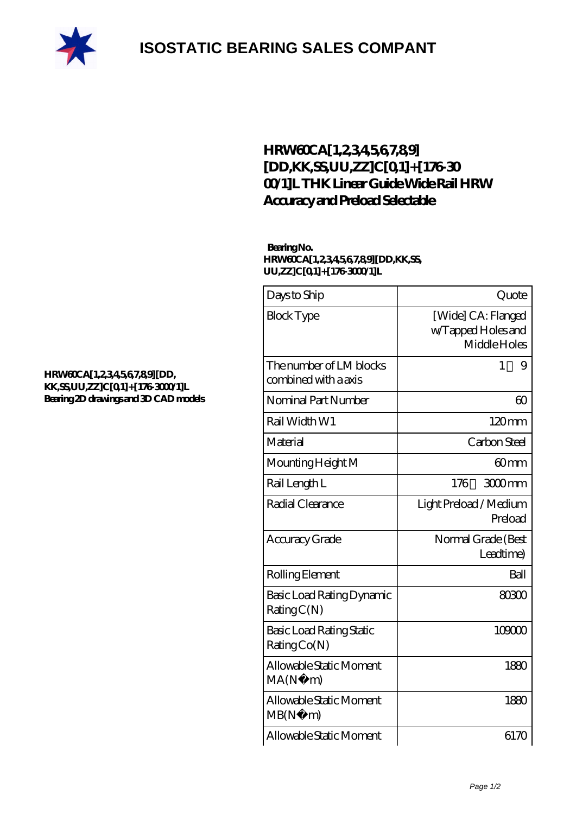

## **[ISOSTATIC BEARING SALES COMPANT](https://m.rebeccakeelingstudios.com)**

### **[HRW60CA\[1,2,3,4,5,6,7,8,9\]](https://m.rebeccakeelingstudios.com/high-temperature-linear-guide/hrw60ca-1-2-3-4-5-6-7-8-9-dd-kk-ss-uu-zz-c-0-1-176-3000-1-l.html) [\[DD,KK,SS,UU,ZZ\]C\[0,1\]+\[176-30](https://m.rebeccakeelingstudios.com/high-temperature-linear-guide/hrw60ca-1-2-3-4-5-6-7-8-9-dd-kk-ss-uu-zz-c-0-1-176-3000-1-l.html) [00/1\]L THK Linear Guide Wide Rail HRW](https://m.rebeccakeelingstudios.com/high-temperature-linear-guide/hrw60ca-1-2-3-4-5-6-7-8-9-dd-kk-ss-uu-zz-c-0-1-176-3000-1-l.html) [Accuracy and Preload Selectable](https://m.rebeccakeelingstudios.com/high-temperature-linear-guide/hrw60ca-1-2-3-4-5-6-7-8-9-dd-kk-ss-uu-zz-c-0-1-176-3000-1-l.html)**

#### **Bearing No. HRW60CA[1,2,3,4,5,6,7,8,9][DD,KK,SS, UU,ZZ]C[0,1]+[176-3000/1]L**

| Days to Ship                                    | Quote                                                    |
|-------------------------------------------------|----------------------------------------------------------|
| <b>Block Type</b>                               | [Wide] CA: Flanged<br>w/Tapped Holes and<br>Middle Holes |
| The number of LM blocks<br>combined with a axis | 1<br>9                                                   |
| Nominal Part Number                             | $\infty$                                                 |
| Rail Width W1                                   | 120mm                                                    |
| Material                                        | Carbon Steel                                             |
| Mounting Height M                               | 60mm                                                     |
| Rail Length L                                   | 176<br>$300$ mm                                          |
| Radial Clearance                                | Light Preload / Medium<br>Preload                        |
| Accuracy Grade                                  | Normal Grade (Best<br>Leadtime)                          |
| Rolling Element                                 | Ball                                                     |
| Basic Load Rating Dynamic<br>RatingC(N)         | 80300                                                    |
| Basic Load Rating Static<br>Rating Co(N)        | 109000                                                   |
| Allowable Static Moment<br>MA(N)<br>m)          | 1880                                                     |
| Allowable Static Moment<br>MB(N)<br>m)          | 1880                                                     |
| Allowable Static Moment                         | 6170                                                     |

#### **[HRW60CA\[1,2,3,4,5,6,7,8,9\]\[DD,](https://m.rebeccakeelingstudios.com/pic-658809.html) [KK,SS,UU,ZZ\]C\[0,1\]+\[176-3000/1\]L](https://m.rebeccakeelingstudios.com/pic-658809.html) [Bearing 2D drawings and 3D CAD models](https://m.rebeccakeelingstudios.com/pic-658809.html)**